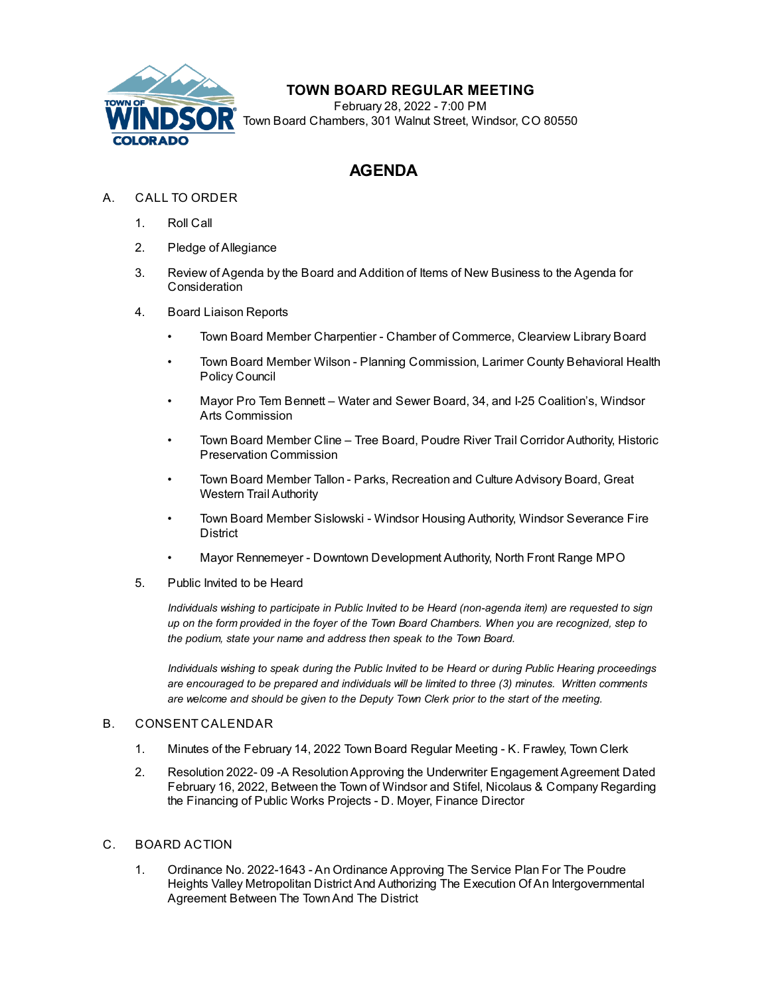

## **TOWN BOARD REGULAR MEETING**

February 28, 2022 - 7:00 PM Town Board Chambers, 301 Walnut Street, Windsor, CO 80550

# **AGENDA**

## A. CALL TO ORDER

- 1. Roll Call
- 2. Pledge of Allegiance
- 3. Review of Agenda by the Board and Addition of Items of New Business to the Agenda for **Consideration**
- 4. Board Liaison Reports
	- Town Board Member Charpentier Chamber of Commerce, Clearview Library Board
	- Town Board Member Wilson Planning Commission, Larimer County Behavioral Health Policy Council
	- Mayor Pro Tem Bennett Water and Sewer Board, 34, and I-25 Coalition's, Windsor Arts Commission
	- Town Board Member Cline Tree Board, Poudre River Trail Corridor Authority, Historic Preservation Commission
	- Town Board Member Tallon Parks, Recreation and Culture Advisory Board, Great Western Trail Authority
	- Town Board Member Sislowski Windsor Housing Authority, Windsor Severance Fire **District**
	- Mayor Rennemeyer Downtown Development Authority, North Front Range MPO
- 5. Public Invited to be Heard

*Individuals wishing to participate in Public Invited to be Heard (non-agenda item) are requested to sign* up on the form provided in the foyer of the Town Board Chambers. When you are recognized, step to *the podium, state your name and address then speak to the Town Board.*

*Individuals wishing to speak during the Public Invited to be Heard or during Public Hearing proceedings are encouraged to be prepared and individuals will be limited to three (3) minutes. Written comments are welcome and should be given to the Deputy Town Clerk prior to the start of the meeting.*

#### B. CONSENT CALENDAR

- 1. Minutes of the [February](file:///C:/Windows/TEMP/CoverSheet.aspx?ItemID=1941&MeetingID=349) 14, 2022 Town Board Regular Meeting K. Frawley, Town Clerk
- 2. Resolution 2022- 09 -A [ResolutionApproving](file:///C:/Windows/TEMP/CoverSheet.aspx?ItemID=1944&MeetingID=349) the Underwriter Engagement Agreement Dated February 16, 2022, Between the Town of Windsor and Stifel, Nicolaus & Company Regarding the Financing of Public Works Projects - D. Moyer, Finance Director

### C. BOARD ACTION

1. Ordinance No. 2022-1643 - An Ordinance Approving The Service Plan For The Poudre Heights Valley Metropolitan District And Authorizing The Execution Of An [Intergovernmental](file:///C:/Windows/TEMP/CoverSheet.aspx?ItemID=1935&MeetingID=349) Agreement Between The TownAnd The District